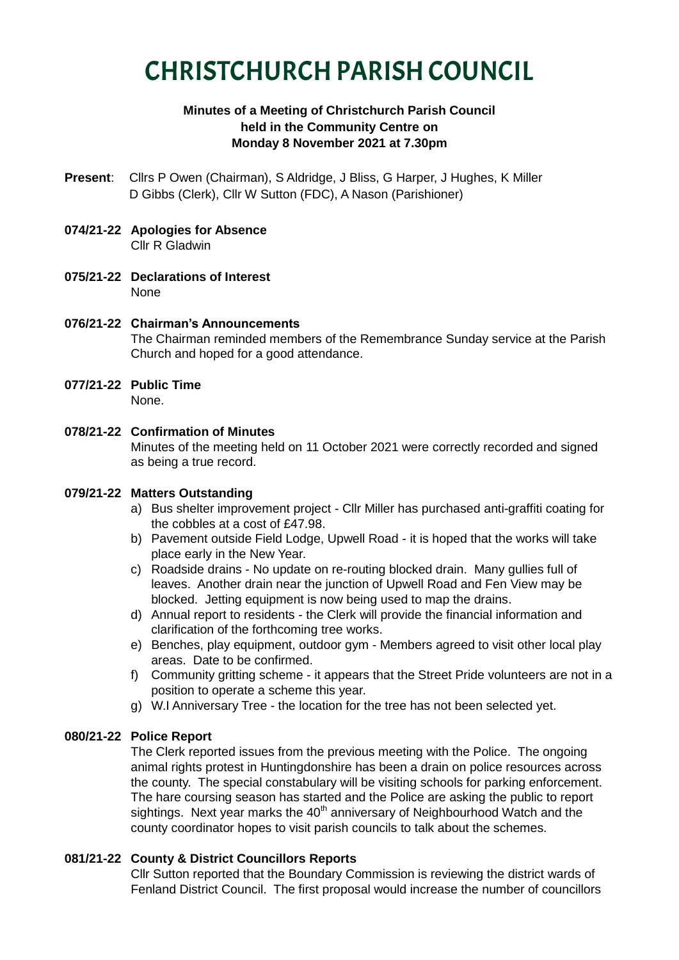# CHRISTCHURCH PARISH COUNCIL

# **Minutes of a Meeting of Christchurch Parish Council held in the Community Centre on Monday 8 November 2021 at 7.30pm**

- **Present**: Cllrs P Owen (Chairman), S Aldridge, J Bliss, G Harper, J Hughes, K Miller D Gibbs (Clerk), Cllr W Sutton (FDC), A Nason (Parishioner)
- **074/21-22 Apologies for Absence** Cllr R Gladwin
- **075/21-22 Declarations of Interest** None
- **076/21-22 Chairman's Announcements** The Chairman reminded members of the Remembrance Sunday service at the Parish Church and hoped for a good attendance.
- **077/21-22 Public Time** None.
- **078/21-22 Confirmation of Minutes**

Minutes of the meeting held on 11 October 2021 were correctly recorded and signed as being a true record.

# **079/21-22 Matters Outstanding**

- a) Bus shelter improvement project Cllr Miller has purchased anti-graffiti coating for the cobbles at a cost of £47.98.
- b) Pavement outside Field Lodge, Upwell Road it is hoped that the works will take place early in the New Year.
- c) Roadside drains No update on re-routing blocked drain. Many gullies full of leaves. Another drain near the junction of Upwell Road and Fen View may be blocked. Jetting equipment is now being used to map the drains.
- d) Annual report to residents the Clerk will provide the financial information and clarification of the forthcoming tree works.
- e) Benches, play equipment, outdoor gym Members agreed to visit other local play areas. Date to be confirmed.
- f) Community gritting scheme it appears that the Street Pride volunteers are not in a position to operate a scheme this year.
- g) W.I Anniversary Tree the location for the tree has not been selected yet.

# **080/21-22 Police Report**

The Clerk reported issues from the previous meeting with the Police. The ongoing animal rights protest in Huntingdonshire has been a drain on police resources across the county. The special constabulary will be visiting schools for parking enforcement. The hare coursing season has started and the Police are asking the public to report sightings. Next year marks the  $40<sup>th</sup>$  anniversary of Neighbourhood Watch and the county coordinator hopes to visit parish councils to talk about the schemes.

## **081/21-22 County & District Councillors Reports**

Cllr Sutton reported that the Boundary Commission is reviewing the district wards of Fenland District Council. The first proposal would increase the number of councillors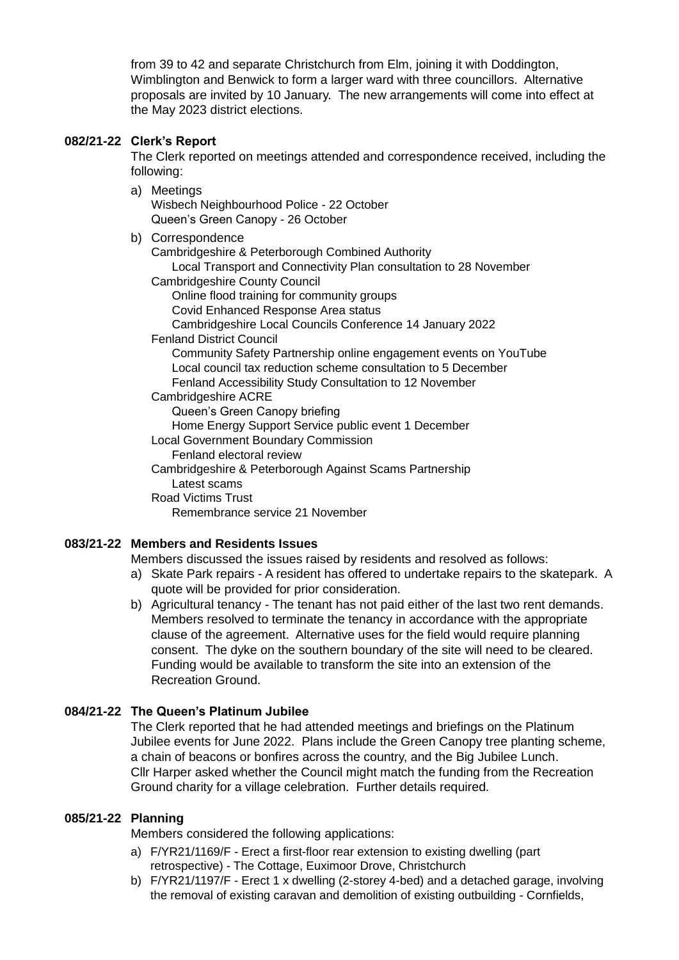from 39 to 42 and separate Christchurch from Elm, joining it with Doddington, Wimblington and Benwick to form a larger ward with three councillors. Alternative proposals are invited by 10 January. The new arrangements will come into effect at the May 2023 district elections.

### **082/21-22 Clerk's Report**

The Clerk reported on meetings attended and correspondence received, including the following:

- a) Meetings Wisbech Neighbourhood Police - 22 October Queen's Green Canopy - 26 October
- b) Correspondence

Cambridgeshire & Peterborough Combined Authority Local Transport and Connectivity Plan consultation to 28 November

- Cambridgeshire County Council
	- Online flood training for community groups
	- Covid Enhanced Response Area status
	- Cambridgeshire Local Councils Conference 14 January 2022

#### Fenland District Council

Community Safety Partnership online engagement events on YouTube Local council tax reduction scheme consultation to 5 December Fenland Accessibility Study Consultation to 12 November

Cambridgeshire ACRE

Queen's Green Canopy briefing

Home Energy Support Service public event 1 December

- Local Government Boundary Commission
	- Fenland electoral review

Cambridgeshire & Peterborough Against Scams Partnership Latest scams

Road Victims Trust

Remembrance service 21 November

## **083/21-22 Members and Residents Issues**

Members discussed the issues raised by residents and resolved as follows:

- a) Skate Park repairs A resident has offered to undertake repairs to the skatepark. A quote will be provided for prior consideration.
- b) Agricultural tenancy The tenant has not paid either of the last two rent demands. Members resolved to terminate the tenancy in accordance with the appropriate clause of the agreement. Alternative uses for the field would require planning consent. The dyke on the southern boundary of the site will need to be cleared. Funding would be available to transform the site into an extension of the Recreation Ground.

## **084/21-22 The Queen's Platinum Jubilee**

The Clerk reported that he had attended meetings and briefings on the Platinum Jubilee events for June 2022. Plans include the Green Canopy tree planting scheme, a chain of beacons or bonfires across the country, and the Big Jubilee Lunch. Cllr Harper asked whether the Council might match the funding from the Recreation Ground charity for a village celebration. Further details required.

## **085/21-22 Planning**

Members considered the following applications:

- a) F/YR21/1169/F Erect a first-floor rear extension to existing dwelling (part retrospective) - The Cottage, Euximoor Drove, Christchurch
- b) F/YR21/1197/F Erect 1 x dwelling (2-storey 4-bed) and a detached garage, involving the removal of existing caravan and demolition of existing outbuilding - Cornfields,